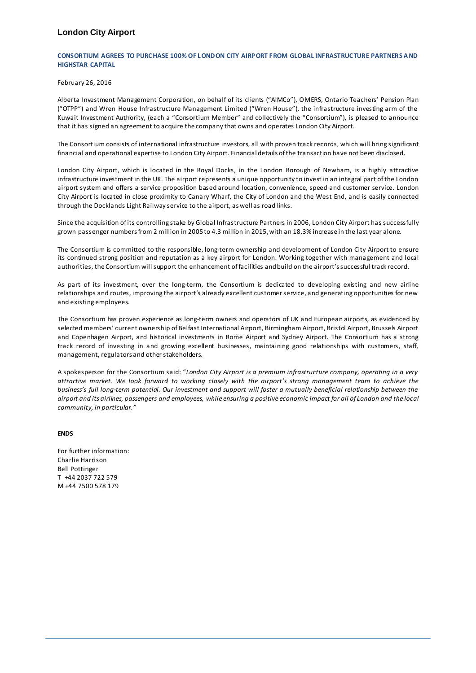## **London City Airport**

### **CONSORTIUM AGREES TO PURCHASE 100% OF L ONDON CITY AIRPORT FROM GLOBAL INFRASTRUCTURE PARTNERS A ND HIGHSTAR CAPITAL**

#### February 26, 2016

Alberta Investment Management Corporation, on behalf of its clients ("AIMCo"), OMERS, Ontario Teachers' Pension Plan ("OTPP") and Wren House Infrastructure Management Limited ("Wren House"), the infrastructure investing arm of the Kuwait Investment Authority, (each a "Consortium Member" and collectively the "Consortium"), is pleased to announce that it has signed an agreement to acquire the company that owns and operates London City Airport.

The Consortium consists of international infrastructure investors, all with proven track records, which will bring significant financial and operational expertise to London City Airport. Financial details of the transaction have not been disclosed.

London City Airport, which is located in the Royal Docks, in the London Borough of Newham, is a highly attractive infrastructure investment in the UK. The airport represents a unique opportunity to invest in an integral part of the London airport system and offers a service proposition based around location, convenience, speed and customer service. London City Airport is located in close proximity to Canary Wharf, the City of London and the West End, and is easily connected through the Docklands Light Railway service to the airport, as well as road links.

Since the acquisition of its controlling stake by Global Infrastructure Partners in 2006, London City Airport has successfully grown passenger numbers from 2 million in 2005 to 4.3 million in 2015, with an 18.3% increase in the last year alone.

The Consortium is committed to the responsible, long-term ownership and development of London City Airport to ensure its continued strong position and reputation as a key airport for London. Working together with management and local authorities, the Consortium will support the enhancement of facilities and build on the airport's successful track record.

As part of its investment, over the long-term, the Consortium is dedicated to developing existing and new airline relationships and routes, improving the airport's already excellent customer service, and generating opportunities for new and existing employees.

The Consortium has proven experience as long-term owners and operators of UK and European airports, as evidenced by selected members' current ownership of Belfast International Airport, Birmingham Airport, Bristol Airport, Brussels Airport and Copenhagen Airport, and historical investments in Rome Airport and Sydney Airport. The Consortium has a strong track record of investing in and growing excellent businesses, maintaining good relationships with customers, staff, management, regulators and other stakeholders.

A spokesperson for the Consortium said: "*London City Airport is a premium infrastructure company, operating in a very attractive market. We look forward to working closely with the airport's strong management team to achieve the business's full long-term potential. Our investment and support will foster a mutually beneficial relationship between the airport and its airlines, passengers and employees, while ensuring a positive economic impact for all of London and the local community, in particular."*

## **ENDS**

For further information: Charlie Harrison Bell Pottinger T +44 2037 722 579 M +44 7500 578 179